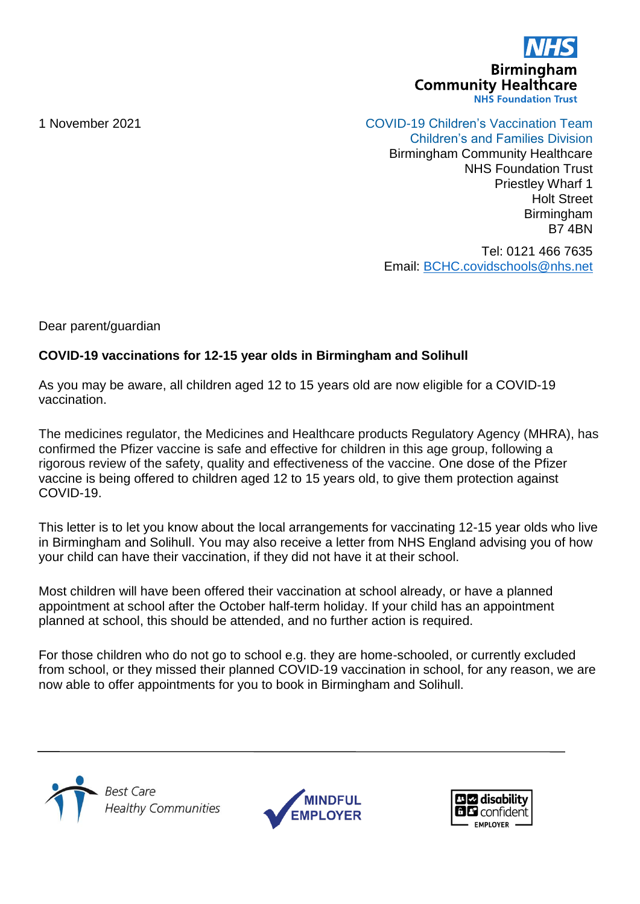

1 November 2021 COVID-19 Children's Vaccination Team

Children's and Families Division Birmingham Community Healthcare NHS Foundation Trust Priestley Wharf 1 Holt Street **Birmingham** B7 4BN

Tel: 0121 466 7635 Email: [BCHC.covidschools@nhs.net](mailto:BCHC.covidschools@nhs.net)

Dear parent/guardian

## **COVID-19 vaccinations for 12-15 year olds in Birmingham and Solihull**

As you may be aware, all children aged 12 to 15 years old are now eligible for a COVID-19 vaccination.

The medicines regulator, the Medicines and Healthcare products Regulatory Agency (MHRA), has confirmed the Pfizer vaccine is safe and effective for children in this age group, following a rigorous review of the safety, quality and effectiveness of the vaccine. One dose of the Pfizer vaccine is being offered to children aged 12 to 15 years old, to give them protection against COVID-19.

This letter is to let you know about the local arrangements for vaccinating 12-15 year olds who live in Birmingham and Solihull. You may also receive a letter from NHS England advising you of how your child can have their vaccination, if they did not have it at their school.

Most children will have been offered their vaccination at school already, or have a planned appointment at school after the October half-term holiday. If your child has an appointment planned at school, this should be attended, and no further action is required.

For those children who do not go to school e.g. they are home-schooled, or currently excluded from school, or they missed their planned COVID-19 vaccination in school, for any reason, we are now able to offer appointments for you to book in Birmingham and Solihull.